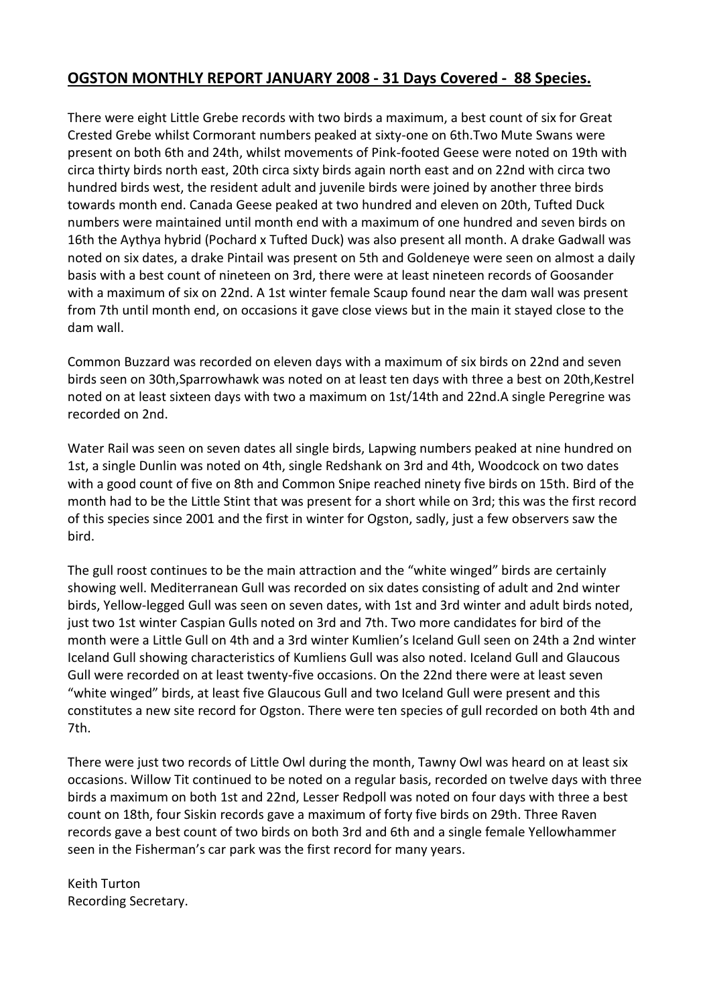# **OGSTON MONTHLY REPORT JANUARY 2008 - 31 Days Covered - 88 Species.**

There were eight Little Grebe records with two birds a maximum, a best count of six for Great Crested Grebe whilst Cormorant numbers peaked at sixty-one on 6th.Two Mute Swans were present on both 6th and 24th, whilst movements of Pink-footed Geese were noted on 19th with circa thirty birds north east, 20th circa sixty birds again north east and on 22nd with circa two hundred birds west, the resident adult and juvenile birds were joined by another three birds towards month end. Canada Geese peaked at two hundred and eleven on 20th, Tufted Duck numbers were maintained until month end with a maximum of one hundred and seven birds on 16th the Aythya hybrid (Pochard x Tufted Duck) was also present all month. A drake Gadwall was noted on six dates, a drake Pintail was present on 5th and Goldeneye were seen on almost a daily basis with a best count of nineteen on 3rd, there were at least nineteen records of Goosander with a maximum of six on 22nd. A 1st winter female Scaup found near the dam wall was present from 7th until month end, on occasions it gave close views but in the main it stayed close to the dam wall.

Common Buzzard was recorded on eleven days with a maximum of six birds on 22nd and seven birds seen on 30th,Sparrowhawk was noted on at least ten days with three a best on 20th,Kestrel noted on at least sixteen days with two a maximum on 1st/14th and 22nd.A single Peregrine was recorded on 2nd.

Water Rail was seen on seven dates all single birds, Lapwing numbers peaked at nine hundred on 1st, a single Dunlin was noted on 4th, single Redshank on 3rd and 4th, Woodcock on two dates with a good count of five on 8th and Common Snipe reached ninety five birds on 15th. Bird of the month had to be the Little Stint that was present for a short while on 3rd; this was the first record of this species since 2001 and the first in winter for Ogston, sadly, just a few observers saw the bird.

The gull roost continues to be the main attraction and the "white winged" birds are certainly showing well. Mediterranean Gull was recorded on six dates consisting of adult and 2nd winter birds, Yellow-legged Gull was seen on seven dates, with 1st and 3rd winter and adult birds noted, just two 1st winter Caspian Gulls noted on 3rd and 7th. Two more candidates for bird of the month were a Little Gull on 4th and a 3rd winter Kumlien's Iceland Gull seen on 24th a 2nd winter Iceland Gull showing characteristics of Kumliens Gull was also noted. Iceland Gull and Glaucous Gull were recorded on at least twenty-five occasions. On the 22nd there were at least seven "white winged" birds, at least five Glaucous Gull and two Iceland Gull were present and this constitutes a new site record for Ogston. There were ten species of gull recorded on both 4th and 7th.

There were just two records of Little Owl during the month, Tawny Owl was heard on at least six occasions. Willow Tit continued to be noted on a regular basis, recorded on twelve days with three birds a maximum on both 1st and 22nd, Lesser Redpoll was noted on four days with three a best count on 18th, four Siskin records gave a maximum of forty five birds on 29th. Three Raven records gave a best count of two birds on both 3rd and 6th and a single female Yellowhammer seen in the Fisherman's car park was the first record for many years.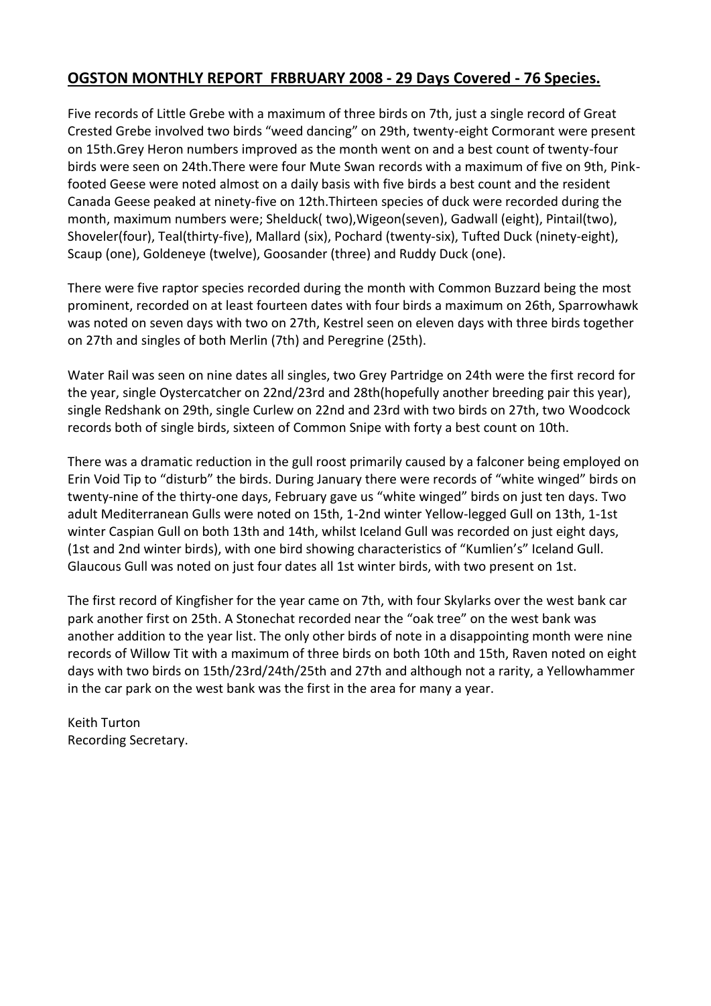# **OGSTON MONTHLY REPORT FRBRUARY 2008 - 29 Days Covered - 76 Species.**

Five records of Little Grebe with a maximum of three birds on 7th, just a single record of Great Crested Grebe involved two birds "weed dancing" on 29th, twenty-eight Cormorant were present on 15th.Grey Heron numbers improved as the month went on and a best count of twenty-four birds were seen on 24th.There were four Mute Swan records with a maximum of five on 9th, Pinkfooted Geese were noted almost on a daily basis with five birds a best count and the resident Canada Geese peaked at ninety-five on 12th.Thirteen species of duck were recorded during the month, maximum numbers were; Shelduck( two),Wigeon(seven), Gadwall (eight), Pintail(two), Shoveler(four), Teal(thirty-five), Mallard (six), Pochard (twenty-six), Tufted Duck (ninety-eight), Scaup (one), Goldeneye (twelve), Goosander (three) and Ruddy Duck (one).

There were five raptor species recorded during the month with Common Buzzard being the most prominent, recorded on at least fourteen dates with four birds a maximum on 26th, Sparrowhawk was noted on seven days with two on 27th, Kestrel seen on eleven days with three birds together on 27th and singles of both Merlin (7th) and Peregrine (25th).

Water Rail was seen on nine dates all singles, two Grey Partridge on 24th were the first record for the year, single Oystercatcher on 22nd/23rd and 28th(hopefully another breeding pair this year), single Redshank on 29th, single Curlew on 22nd and 23rd with two birds on 27th, two Woodcock records both of single birds, sixteen of Common Snipe with forty a best count on 10th.

There was a dramatic reduction in the gull roost primarily caused by a falconer being employed on Erin Void Tip to "disturb" the birds. During January there were records of "white winged" birds on twenty-nine of the thirty-one days, February gave us "white winged" birds on just ten days. Two adult Mediterranean Gulls were noted on 15th, 1-2nd winter Yellow-legged Gull on 13th, 1-1st winter Caspian Gull on both 13th and 14th, whilst Iceland Gull was recorded on just eight days, (1st and 2nd winter birds), with one bird showing characteristics of "Kumlien's" Iceland Gull. Glaucous Gull was noted on just four dates all 1st winter birds, with two present on 1st.

The first record of Kingfisher for the year came on 7th, with four Skylarks over the west bank car park another first on 25th. A Stonechat recorded near the "oak tree" on the west bank was another addition to the year list. The only other birds of note in a disappointing month were nine records of Willow Tit with a maximum of three birds on both 10th and 15th, Raven noted on eight days with two birds on 15th/23rd/24th/25th and 27th and although not a rarity, a Yellowhammer in the car park on the west bank was the first in the area for many a year.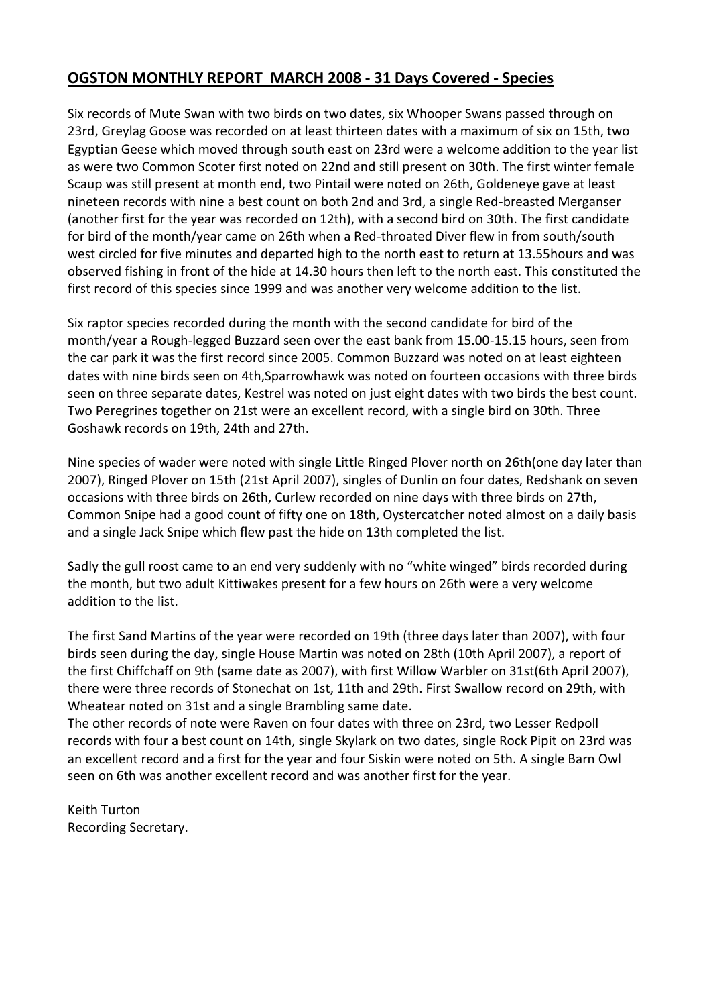# **OGSTON MONTHLY REPORT MARCH 2008 - 31 Days Covered - Species**

Six records of Mute Swan with two birds on two dates, six Whooper Swans passed through on 23rd, Greylag Goose was recorded on at least thirteen dates with a maximum of six on 15th, two Egyptian Geese which moved through south east on 23rd were a welcome addition to the year list as were two Common Scoter first noted on 22nd and still present on 30th. The first winter female Scaup was still present at month end, two Pintail were noted on 26th, Goldeneye gave at least nineteen records with nine a best count on both 2nd and 3rd, a single Red-breasted Merganser (another first for the year was recorded on 12th), with a second bird on 30th. The first candidate for bird of the month/year came on 26th when a Red-throated Diver flew in from south/south west circled for five minutes and departed high to the north east to return at 13.55hours and was observed fishing in front of the hide at 14.30 hours then left to the north east. This constituted the first record of this species since 1999 and was another very welcome addition to the list.

Six raptor species recorded during the month with the second candidate for bird of the month/year a Rough-legged Buzzard seen over the east bank from 15.00-15.15 hours, seen from the car park it was the first record since 2005. Common Buzzard was noted on at least eighteen dates with nine birds seen on 4th,Sparrowhawk was noted on fourteen occasions with three birds seen on three separate dates, Kestrel was noted on just eight dates with two birds the best count. Two Peregrines together on 21st were an excellent record, with a single bird on 30th. Three Goshawk records on 19th, 24th and 27th.

Nine species of wader were noted with single Little Ringed Plover north on 26th(one day later than 2007), Ringed Plover on 15th (21st April 2007), singles of Dunlin on four dates, Redshank on seven occasions with three birds on 26th, Curlew recorded on nine days with three birds on 27th, Common Snipe had a good count of fifty one on 18th, Oystercatcher noted almost on a daily basis and a single Jack Snipe which flew past the hide on 13th completed the list.

Sadly the gull roost came to an end very suddenly with no "white winged" birds recorded during the month, but two adult Kittiwakes present for a few hours on 26th were a very welcome addition to the list.

The first Sand Martins of the year were recorded on 19th (three days later than 2007), with four birds seen during the day, single House Martin was noted on 28th (10th April 2007), a report of the first Chiffchaff on 9th (same date as 2007), with first Willow Warbler on 31st(6th April 2007), there were three records of Stonechat on 1st, 11th and 29th. First Swallow record on 29th, with Wheatear noted on 31st and a single Brambling same date.

The other records of note were Raven on four dates with three on 23rd, two Lesser Redpoll records with four a best count on 14th, single Skylark on two dates, single Rock Pipit on 23rd was an excellent record and a first for the year and four Siskin were noted on 5th. A single Barn Owl seen on 6th was another excellent record and was another first for the year.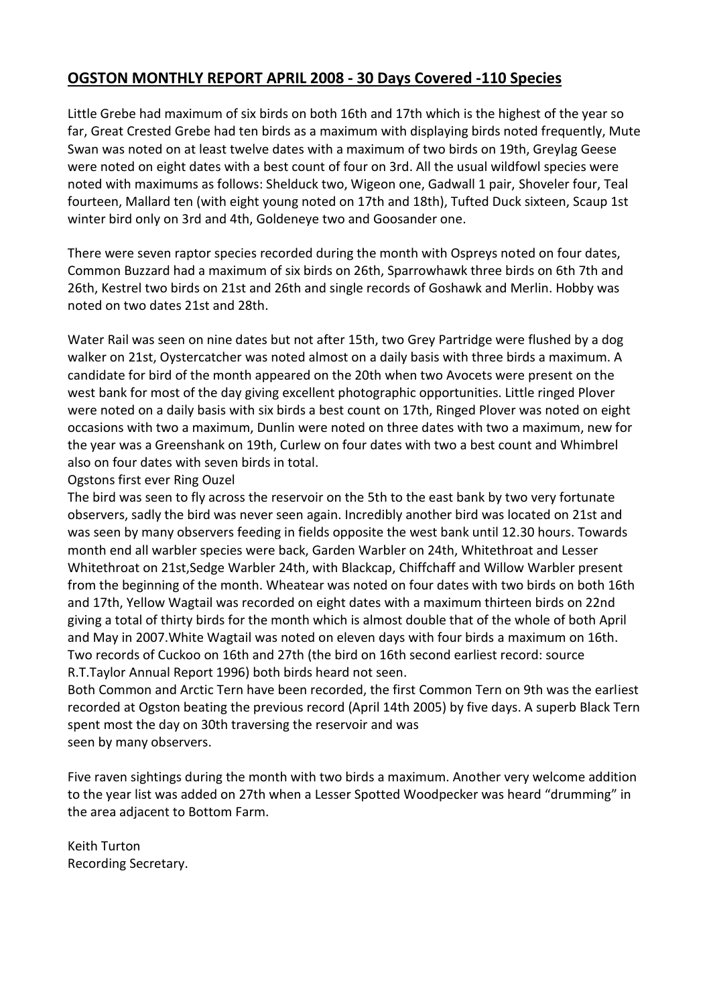# **OGSTON MONTHLY REPORT APRIL 2008 - 30 Days Covered -110 Species**

Little Grebe had maximum of six birds on both 16th and 17th which is the highest of the year so far, Great Crested Grebe had ten birds as a maximum with displaying birds noted frequently, Mute Swan was noted on at least twelve dates with a maximum of two birds on 19th, Greylag Geese were noted on eight dates with a best count of four on 3rd. All the usual wildfowl species were noted with maximums as follows: Shelduck two, Wigeon one, Gadwall 1 pair, Shoveler four, Teal fourteen, Mallard ten (with eight young noted on 17th and 18th), Tufted Duck sixteen, Scaup 1st winter bird only on 3rd and 4th, Goldeneye two and Goosander one.

There were seven raptor species recorded during the month with Ospreys noted on four dates, Common Buzzard had a maximum of six birds on 26th, Sparrowhawk three birds on 6th 7th and 26th, Kestrel two birds on 21st and 26th and single records of Goshawk and Merlin. Hobby was noted on two dates 21st and 28th.

Water Rail was seen on nine dates but not after 15th, two Grey Partridge were flushed by a dog walker on 21st, Oystercatcher was noted almost on a daily basis with three birds a maximum. A candidate for bird of the month appeared on the 20th when two Avocets were present on the west bank for most of the day giving excellent photographic opportunities. Little ringed Plover were noted on a daily basis with six birds a best count on 17th, Ringed Plover was noted on eight occasions with two a maximum, Dunlin were noted on three dates with two a maximum, new for the year was a Greenshank on 19th, Curlew on four dates with two a best count and Whimbrel also on four dates with seven birds in total.

Ogstons first ever Ring Ouzel

The bird was seen to fly across the reservoir on the 5th to the east bank by two very fortunate observers, sadly the bird was never seen again. Incredibly another bird was located on 21st and was seen by many observers feeding in fields opposite the west bank until 12.30 hours. Towards month end all warbler species were back, Garden Warbler on 24th, Whitethroat and Lesser Whitethroat on 21st,Sedge Warbler 24th, with Blackcap, Chiffchaff and Willow Warbler present from the beginning of the month. Wheatear was noted on four dates with two birds on both 16th and 17th, Yellow Wagtail was recorded on eight dates with a maximum thirteen birds on 22nd giving a total of thirty birds for the month which is almost double that of the whole of both April and May in 2007.White Wagtail was noted on eleven days with four birds a maximum on 16th. Two records of Cuckoo on 16th and 27th (the bird on 16th second earliest record: source R.T.Taylor Annual Report 1996) both birds heard not seen.

Both Common and Arctic Tern have been recorded, the first Common Tern on 9th was the earliest recorded at Ogston beating the previous record (April 14th 2005) by five days. A superb Black Tern spent most the day on 30th traversing the reservoir and was seen by many observers.

Five raven sightings during the month with two birds a maximum. Another very welcome addition to the year list was added on 27th when a Lesser Spotted Woodpecker was heard "drumming" in the area adjacent to Bottom Farm.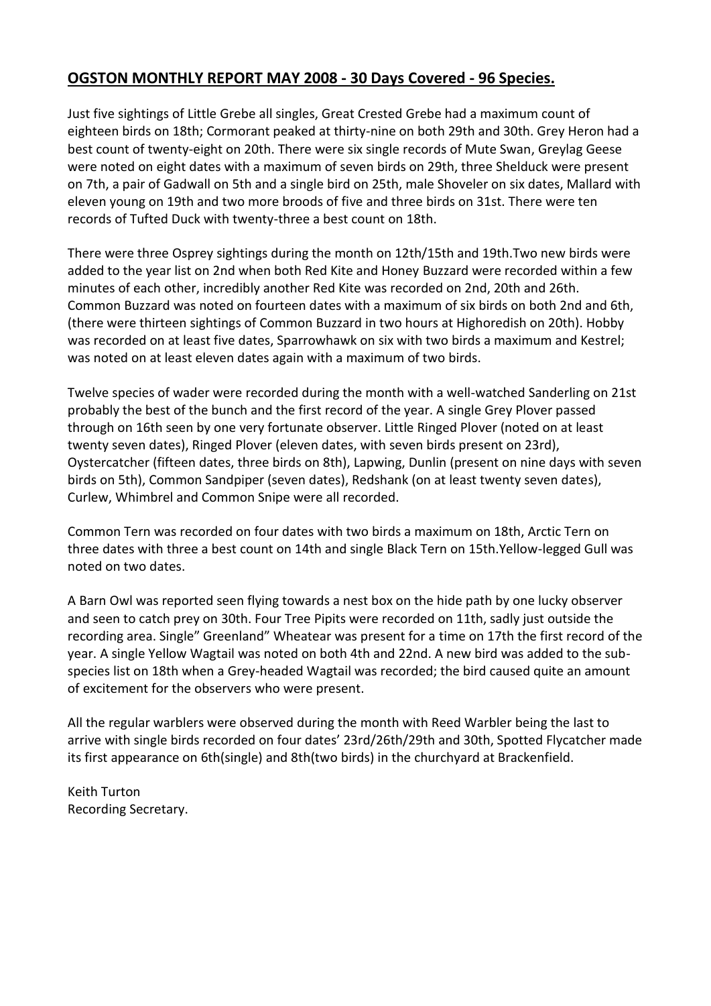# **OGSTON MONTHLY REPORT MAY 2008 - 30 Days Covered - 96 Species.**

Just five sightings of Little Grebe all singles, Great Crested Grebe had a maximum count of eighteen birds on 18th; Cormorant peaked at thirty-nine on both 29th and 30th. Grey Heron had a best count of twenty-eight on 20th. There were six single records of Mute Swan, Greylag Geese were noted on eight dates with a maximum of seven birds on 29th, three Shelduck were present on 7th, a pair of Gadwall on 5th and a single bird on 25th, male Shoveler on six dates, Mallard with eleven young on 19th and two more broods of five and three birds on 31st. There were ten records of Tufted Duck with twenty-three a best count on 18th.

There were three Osprey sightings during the month on 12th/15th and 19th.Two new birds were added to the year list on 2nd when both Red Kite and Honey Buzzard were recorded within a few minutes of each other, incredibly another Red Kite was recorded on 2nd, 20th and 26th. Common Buzzard was noted on fourteen dates with a maximum of six birds on both 2nd and 6th, (there were thirteen sightings of Common Buzzard in two hours at Highoredish on 20th). Hobby was recorded on at least five dates, Sparrowhawk on six with two birds a maximum and Kestrel; was noted on at least eleven dates again with a maximum of two birds.

Twelve species of wader were recorded during the month with a well-watched Sanderling on 21st probably the best of the bunch and the first record of the year. A single Grey Plover passed through on 16th seen by one very fortunate observer. Little Ringed Plover (noted on at least twenty seven dates), Ringed Plover (eleven dates, with seven birds present on 23rd), Oystercatcher (fifteen dates, three birds on 8th), Lapwing, Dunlin (present on nine days with seven birds on 5th), Common Sandpiper (seven dates), Redshank (on at least twenty seven dates), Curlew, Whimbrel and Common Snipe were all recorded.

Common Tern was recorded on four dates with two birds a maximum on 18th, Arctic Tern on three dates with three a best count on 14th and single Black Tern on 15th.Yellow-legged Gull was noted on two dates.

A Barn Owl was reported seen flying towards a nest box on the hide path by one lucky observer and seen to catch prey on 30th. Four Tree Pipits were recorded on 11th, sadly just outside the recording area. Single" Greenland" Wheatear was present for a time on 17th the first record of the year. A single Yellow Wagtail was noted on both 4th and 22nd. A new bird was added to the subspecies list on 18th when a Grey-headed Wagtail was recorded; the bird caused quite an amount of excitement for the observers who were present.

All the regular warblers were observed during the month with Reed Warbler being the last to arrive with single birds recorded on four dates' 23rd/26th/29th and 30th, Spotted Flycatcher made its first appearance on 6th(single) and 8th(two birds) in the churchyard at Brackenfield.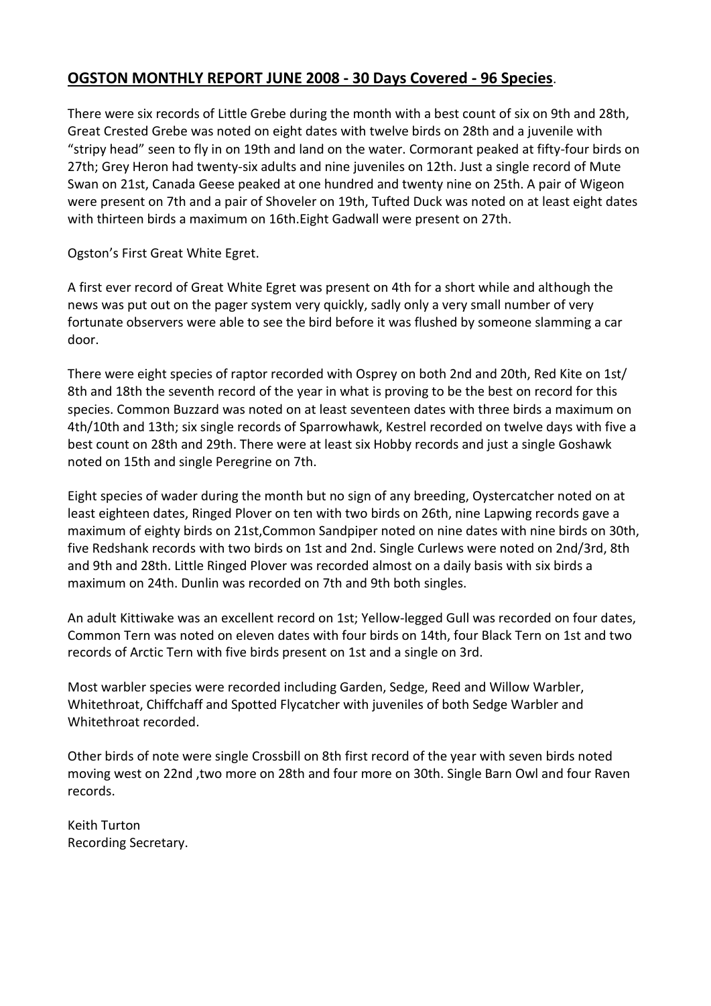#### **OGSTON MONTHLY REPORT JUNE 2008 - 30 Days Covered - 96 Species**.

There were six records of Little Grebe during the month with a best count of six on 9th and 28th, Great Crested Grebe was noted on eight dates with twelve birds on 28th and a juvenile with "stripy head" seen to fly in on 19th and land on the water. Cormorant peaked at fifty-four birds on 27th; Grey Heron had twenty-six adults and nine juveniles on 12th. Just a single record of Mute Swan on 21st, Canada Geese peaked at one hundred and twenty nine on 25th. A pair of Wigeon were present on 7th and a pair of Shoveler on 19th, Tufted Duck was noted on at least eight dates with thirteen birds a maximum on 16th.Eight Gadwall were present on 27th.

Ogston's First Great White Egret.

A first ever record of Great White Egret was present on 4th for a short while and although the news was put out on the pager system very quickly, sadly only a very small number of very fortunate observers were able to see the bird before it was flushed by someone slamming a car door.

There were eight species of raptor recorded with Osprey on both 2nd and 20th, Red Kite on 1st/ 8th and 18th the seventh record of the year in what is proving to be the best on record for this species. Common Buzzard was noted on at least seventeen dates with three birds a maximum on 4th/10th and 13th; six single records of Sparrowhawk, Kestrel recorded on twelve days with five a best count on 28th and 29th. There were at least six Hobby records and just a single Goshawk noted on 15th and single Peregrine on 7th.

Eight species of wader during the month but no sign of any breeding, Oystercatcher noted on at least eighteen dates, Ringed Plover on ten with two birds on 26th, nine Lapwing records gave a maximum of eighty birds on 21st,Common Sandpiper noted on nine dates with nine birds on 30th, five Redshank records with two birds on 1st and 2nd. Single Curlews were noted on 2nd/3rd, 8th and 9th and 28th. Little Ringed Plover was recorded almost on a daily basis with six birds a maximum on 24th. Dunlin was recorded on 7th and 9th both singles.

An adult Kittiwake was an excellent record on 1st; Yellow-legged Gull was recorded on four dates, Common Tern was noted on eleven dates with four birds on 14th, four Black Tern on 1st and two records of Arctic Tern with five birds present on 1st and a single on 3rd.

Most warbler species were recorded including Garden, Sedge, Reed and Willow Warbler, Whitethroat, Chiffchaff and Spotted Flycatcher with juveniles of both Sedge Warbler and Whitethroat recorded.

Other birds of note were single Crossbill on 8th first record of the year with seven birds noted moving west on 22nd ,two more on 28th and four more on 30th. Single Barn Owl and four Raven records.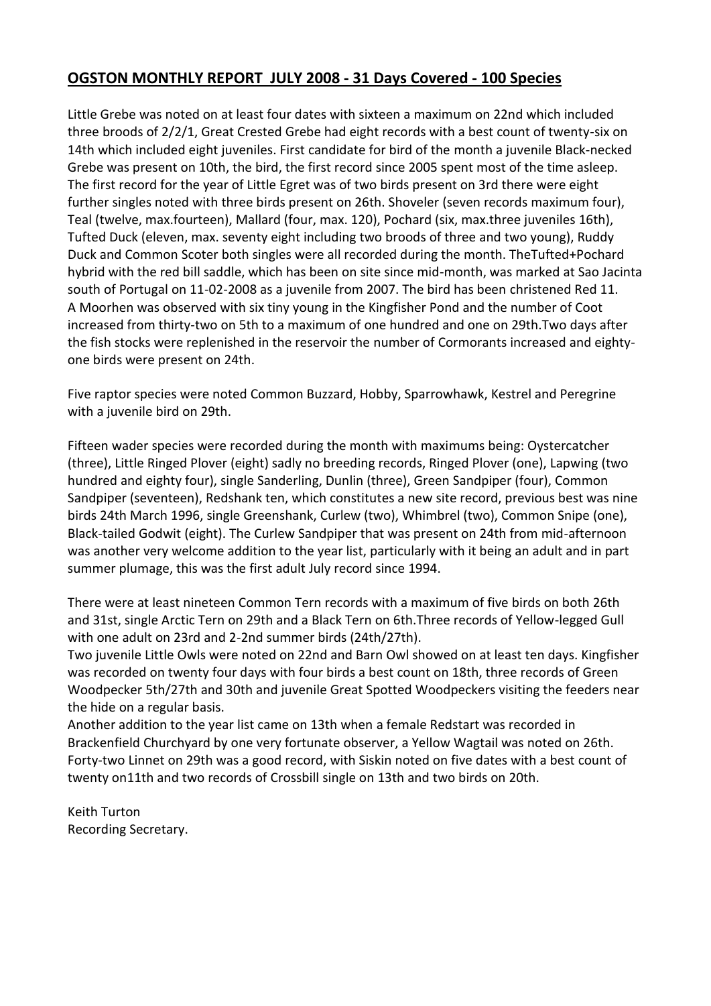# **OGSTON MONTHLY REPORT JULY 2008 - 31 Days Covered - 100 Species**

Little Grebe was noted on at least four dates with sixteen a maximum on 22nd which included three broods of 2/2/1, Great Crested Grebe had eight records with a best count of twenty-six on 14th which included eight juveniles. First candidate for bird of the month a juvenile Black-necked Grebe was present on 10th, the bird, the first record since 2005 spent most of the time asleep. The first record for the year of Little Egret was of two birds present on 3rd there were eight further singles noted with three birds present on 26th. Shoveler (seven records maximum four), Teal (twelve, max.fourteen), Mallard (four, max. 120), Pochard (six, max.three juveniles 16th), Tufted Duck (eleven, max. seventy eight including two broods of three and two young), Ruddy Duck and Common Scoter both singles were all recorded during the month. TheTufted+Pochard hybrid with the red bill saddle, which has been on site since mid-month, was marked at Sao Jacinta south of Portugal on 11-02-2008 as a juvenile from 2007. The bird has been christened Red 11. A Moorhen was observed with six tiny young in the Kingfisher Pond and the number of Coot increased from thirty-two on 5th to a maximum of one hundred and one on 29th.Two days after the fish stocks were replenished in the reservoir the number of Cormorants increased and eightyone birds were present on 24th.

Five raptor species were noted Common Buzzard, Hobby, Sparrowhawk, Kestrel and Peregrine with a juvenile bird on 29th.

Fifteen wader species were recorded during the month with maximums being: Oystercatcher (three), Little Ringed Plover (eight) sadly no breeding records, Ringed Plover (one), Lapwing (two hundred and eighty four), single Sanderling, Dunlin (three), Green Sandpiper (four), Common Sandpiper (seventeen), Redshank ten, which constitutes a new site record, previous best was nine birds 24th March 1996, single Greenshank, Curlew (two), Whimbrel (two), Common Snipe (one), Black-tailed Godwit (eight). The Curlew Sandpiper that was present on 24th from mid-afternoon was another very welcome addition to the year list, particularly with it being an adult and in part summer plumage, this was the first adult July record since 1994.

There were at least nineteen Common Tern records with a maximum of five birds on both 26th and 31st, single Arctic Tern on 29th and a Black Tern on 6th.Three records of Yellow-legged Gull with one adult on 23rd and 2-2nd summer birds (24th/27th).

Two juvenile Little Owls were noted on 22nd and Barn Owl showed on at least ten days. Kingfisher was recorded on twenty four days with four birds a best count on 18th, three records of Green Woodpecker 5th/27th and 30th and juvenile Great Spotted Woodpeckers visiting the feeders near the hide on a regular basis.

Another addition to the year list came on 13th when a female Redstart was recorded in Brackenfield Churchyard by one very fortunate observer, a Yellow Wagtail was noted on 26th. Forty-two Linnet on 29th was a good record, with Siskin noted on five dates with a best count of twenty on11th and two records of Crossbill single on 13th and two birds on 20th.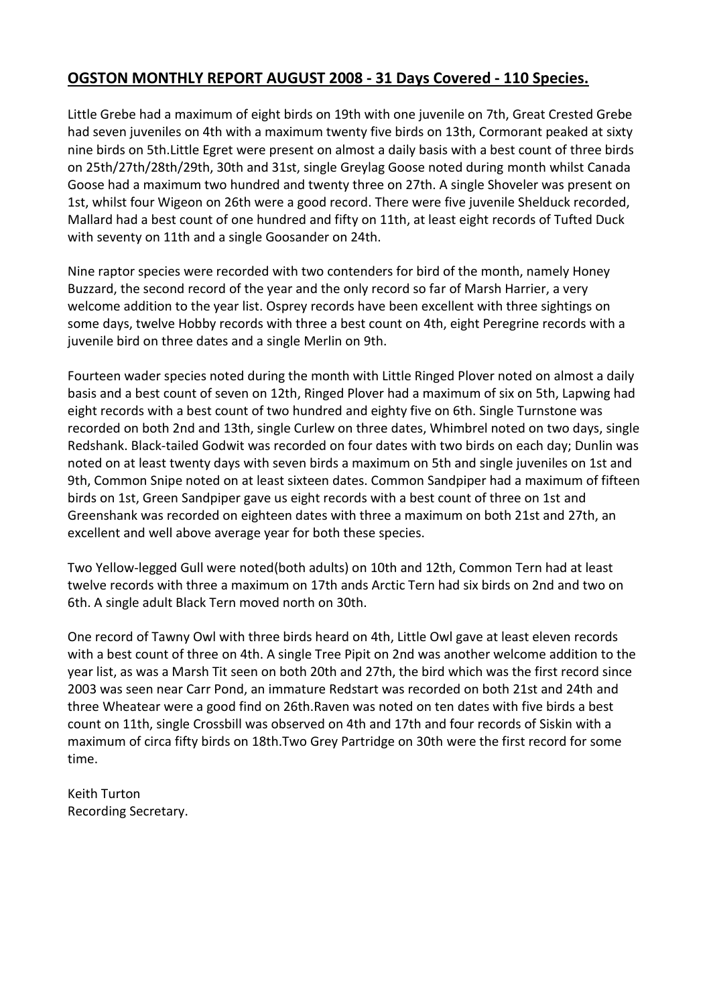# **OGSTON MONTHLY REPORT AUGUST 2008 - 31 Days Covered - 110 Species.**

Little Grebe had a maximum of eight birds on 19th with one juvenile on 7th, Great Crested Grebe had seven juveniles on 4th with a maximum twenty five birds on 13th, Cormorant peaked at sixty nine birds on 5th.Little Egret were present on almost a daily basis with a best count of three birds on 25th/27th/28th/29th, 30th and 31st, single Greylag Goose noted during month whilst Canada Goose had a maximum two hundred and twenty three on 27th. A single Shoveler was present on 1st, whilst four Wigeon on 26th were a good record. There were five juvenile Shelduck recorded, Mallard had a best count of one hundred and fifty on 11th, at least eight records of Tufted Duck with seventy on 11th and a single Goosander on 24th.

Nine raptor species were recorded with two contenders for bird of the month, namely Honey Buzzard, the second record of the year and the only record so far of Marsh Harrier, a very welcome addition to the year list. Osprey records have been excellent with three sightings on some days, twelve Hobby records with three a best count on 4th, eight Peregrine records with a juvenile bird on three dates and a single Merlin on 9th.

Fourteen wader species noted during the month with Little Ringed Plover noted on almost a daily basis and a best count of seven on 12th, Ringed Plover had a maximum of six on 5th, Lapwing had eight records with a best count of two hundred and eighty five on 6th. Single Turnstone was recorded on both 2nd and 13th, single Curlew on three dates, Whimbrel noted on two days, single Redshank. Black-tailed Godwit was recorded on four dates with two birds on each day; Dunlin was noted on at least twenty days with seven birds a maximum on 5th and single juveniles on 1st and 9th, Common Snipe noted on at least sixteen dates. Common Sandpiper had a maximum of fifteen birds on 1st, Green Sandpiper gave us eight records with a best count of three on 1st and Greenshank was recorded on eighteen dates with three a maximum on both 21st and 27th, an excellent and well above average year for both these species.

Two Yellow-legged Gull were noted(both adults) on 10th and 12th, Common Tern had at least twelve records with three a maximum on 17th ands Arctic Tern had six birds on 2nd and two on 6th. A single adult Black Tern moved north on 30th.

One record of Tawny Owl with three birds heard on 4th, Little Owl gave at least eleven records with a best count of three on 4th. A single Tree Pipit on 2nd was another welcome addition to the year list, as was a Marsh Tit seen on both 20th and 27th, the bird which was the first record since 2003 was seen near Carr Pond, an immature Redstart was recorded on both 21st and 24th and three Wheatear were a good find on 26th.Raven was noted on ten dates with five birds a best count on 11th, single Crossbill was observed on 4th and 17th and four records of Siskin with a maximum of circa fifty birds on 18th.Two Grey Partridge on 30th were the first record for some time.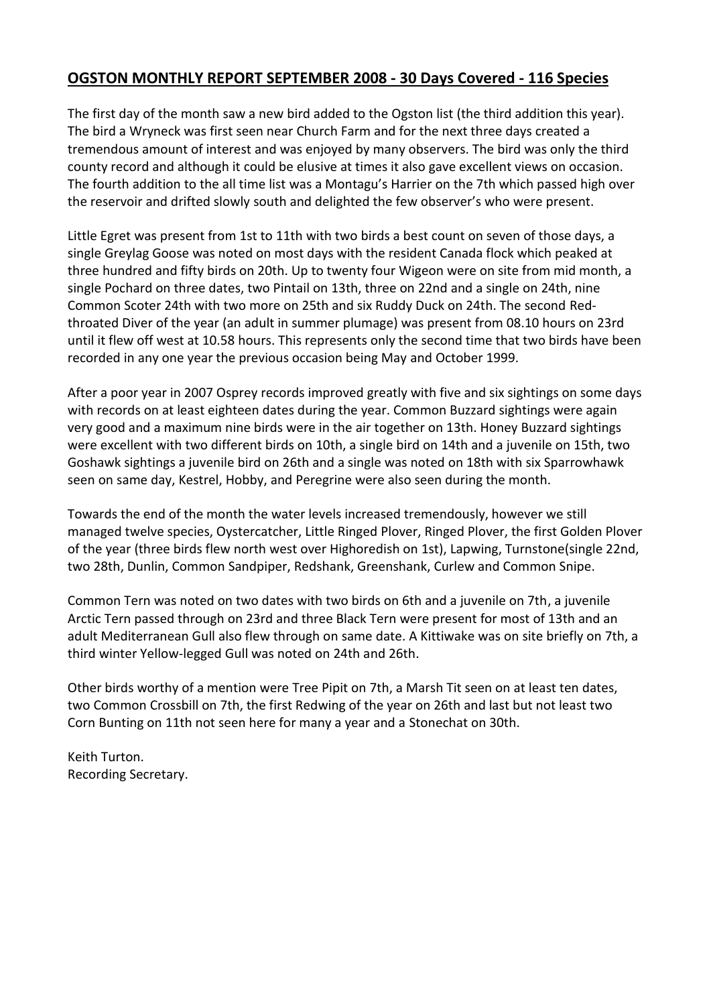# **OGSTON MONTHLY REPORT SEPTEMBER 2008 - 30 Days Covered - 116 Species**

The first day of the month saw a new bird added to the Ogston list (the third addition this year). The bird a Wryneck was first seen near Church Farm and for the next three days created a tremendous amount of interest and was enjoyed by many observers. The bird was only the third county record and although it could be elusive at times it also gave excellent views on occasion. The fourth addition to the all time list was a Montagu's Harrier on the 7th which passed high over the reservoir and drifted slowly south and delighted the few observer's who were present.

Little Egret was present from 1st to 11th with two birds a best count on seven of those days, a single Greylag Goose was noted on most days with the resident Canada flock which peaked at three hundred and fifty birds on 20th. Up to twenty four Wigeon were on site from mid month, a single Pochard on three dates, two Pintail on 13th, three on 22nd and a single on 24th, nine Common Scoter 24th with two more on 25th and six Ruddy Duck on 24th. The second Redthroated Diver of the year (an adult in summer plumage) was present from 08.10 hours on 23rd until it flew off west at 10.58 hours. This represents only the second time that two birds have been recorded in any one year the previous occasion being May and October 1999.

After a poor year in 2007 Osprey records improved greatly with five and six sightings on some days with records on at least eighteen dates during the year. Common Buzzard sightings were again very good and a maximum nine birds were in the air together on 13th. Honey Buzzard sightings were excellent with two different birds on 10th, a single bird on 14th and a juvenile on 15th, two Goshawk sightings a juvenile bird on 26th and a single was noted on 18th with six Sparrowhawk seen on same day, Kestrel, Hobby, and Peregrine were also seen during the month.

Towards the end of the month the water levels increased tremendously, however we still managed twelve species, Oystercatcher, Little Ringed Plover, Ringed Plover, the first Golden Plover of the year (three birds flew north west over Highoredish on 1st), Lapwing, Turnstone(single 22nd, two 28th, Dunlin, Common Sandpiper, Redshank, Greenshank, Curlew and Common Snipe.

Common Tern was noted on two dates with two birds on 6th and a juvenile on 7th, a juvenile Arctic Tern passed through on 23rd and three Black Tern were present for most of 13th and an adult Mediterranean Gull also flew through on same date. A Kittiwake was on site briefly on 7th, a third winter Yellow-legged Gull was noted on 24th and 26th.

Other birds worthy of a mention were Tree Pipit on 7th, a Marsh Tit seen on at least ten dates, two Common Crossbill on 7th, the first Redwing of the year on 26th and last but not least two Corn Bunting on 11th not seen here for many a year and a Stonechat on 30th.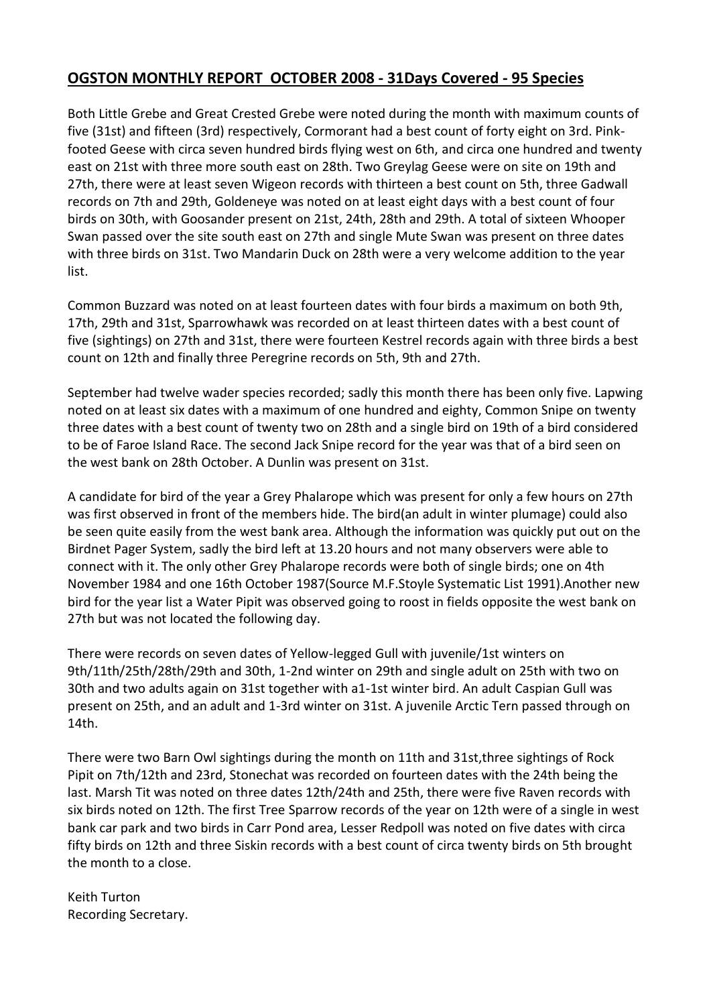# **OGSTON MONTHLY REPORT OCTOBER 2008 - 31Days Covered - 95 Species**

Both Little Grebe and Great Crested Grebe were noted during the month with maximum counts of five (31st) and fifteen (3rd) respectively, Cormorant had a best count of forty eight on 3rd. Pinkfooted Geese with circa seven hundred birds flying west on 6th, and circa one hundred and twenty east on 21st with three more south east on 28th. Two Greylag Geese were on site on 19th and 27th, there were at least seven Wigeon records with thirteen a best count on 5th, three Gadwall records on 7th and 29th, Goldeneye was noted on at least eight days with a best count of four birds on 30th, with Goosander present on 21st, 24th, 28th and 29th. A total of sixteen Whooper Swan passed over the site south east on 27th and single Mute Swan was present on three dates with three birds on 31st. Two Mandarin Duck on 28th were a very welcome addition to the year list.

Common Buzzard was noted on at least fourteen dates with four birds a maximum on both 9th, 17th, 29th and 31st, Sparrowhawk was recorded on at least thirteen dates with a best count of five (sightings) on 27th and 31st, there were fourteen Kestrel records again with three birds a best count on 12th and finally three Peregrine records on 5th, 9th and 27th.

September had twelve wader species recorded; sadly this month there has been only five. Lapwing noted on at least six dates with a maximum of one hundred and eighty, Common Snipe on twenty three dates with a best count of twenty two on 28th and a single bird on 19th of a bird considered to be of Faroe Island Race. The second Jack Snipe record for the year was that of a bird seen on the west bank on 28th October. A Dunlin was present on 31st.

A candidate for bird of the year a Grey Phalarope which was present for only a few hours on 27th was first observed in front of the members hide. The bird(an adult in winter plumage) could also be seen quite easily from the west bank area. Although the information was quickly put out on the Birdnet Pager System, sadly the bird left at 13.20 hours and not many observers were able to connect with it. The only other Grey Phalarope records were both of single birds; one on 4th November 1984 and one 16th October 1987(Source M.F.Stoyle Systematic List 1991).Another new bird for the year list a Water Pipit was observed going to roost in fields opposite the west bank on 27th but was not located the following day.

There were records on seven dates of Yellow-legged Gull with juvenile/1st winters on 9th/11th/25th/28th/29th and 30th, 1-2nd winter on 29th and single adult on 25th with two on 30th and two adults again on 31st together with a1-1st winter bird. An adult Caspian Gull was present on 25th, and an adult and 1-3rd winter on 31st. A juvenile Arctic Tern passed through on 14th.

There were two Barn Owl sightings during the month on 11th and 31st,three sightings of Rock Pipit on 7th/12th and 23rd, Stonechat was recorded on fourteen dates with the 24th being the last. Marsh Tit was noted on three dates 12th/24th and 25th, there were five Raven records with six birds noted on 12th. The first Tree Sparrow records of the year on 12th were of a single in west bank car park and two birds in Carr Pond area, Lesser Redpoll was noted on five dates with circa fifty birds on 12th and three Siskin records with a best count of circa twenty birds on 5th brought the month to a close.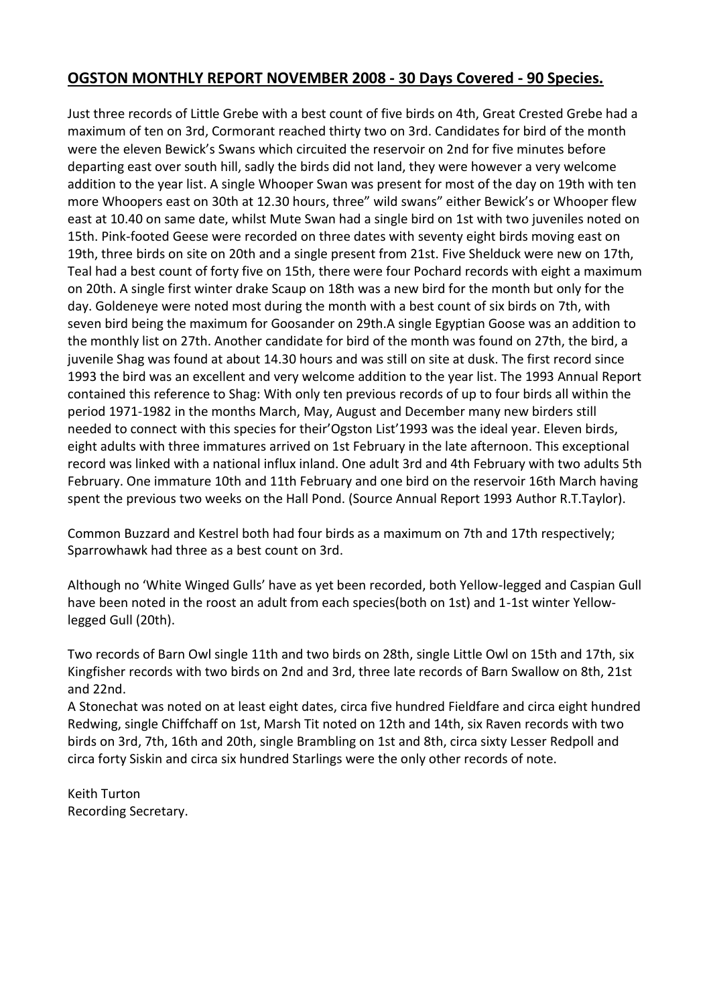# **OGSTON MONTHLY REPORT NOVEMBER 2008 - 30 Days Covered - 90 Species.**

Just three records of Little Grebe with a best count of five birds on 4th, Great Crested Grebe had a maximum of ten on 3rd, Cormorant reached thirty two on 3rd. Candidates for bird of the month were the eleven Bewick's Swans which circuited the reservoir on 2nd for five minutes before departing east over south hill, sadly the birds did not land, they were however a very welcome addition to the year list. A single Whooper Swan was present for most of the day on 19th with ten more Whoopers east on 30th at 12.30 hours, three" wild swans" either Bewick's or Whooper flew east at 10.40 on same date, whilst Mute Swan had a single bird on 1st with two juveniles noted on 15th. Pink-footed Geese were recorded on three dates with seventy eight birds moving east on 19th, three birds on site on 20th and a single present from 21st. Five Shelduck were new on 17th, Teal had a best count of forty five on 15th, there were four Pochard records with eight a maximum on 20th. A single first winter drake Scaup on 18th was a new bird for the month but only for the day. Goldeneye were noted most during the month with a best count of six birds on 7th, with seven bird being the maximum for Goosander on 29th.A single Egyptian Goose was an addition to the monthly list on 27th. Another candidate for bird of the month was found on 27th, the bird, a juvenile Shag was found at about 14.30 hours and was still on site at dusk. The first record since 1993 the bird was an excellent and very welcome addition to the year list. The 1993 Annual Report contained this reference to Shag: With only ten previous records of up to four birds all within the period 1971-1982 in the months March, May, August and December many new birders still needed to connect with this species for their'Ogston List'1993 was the ideal year. Eleven birds, eight adults with three immatures arrived on 1st February in the late afternoon. This exceptional record was linked with a national influx inland. One adult 3rd and 4th February with two adults 5th February. One immature 10th and 11th February and one bird on the reservoir 16th March having spent the previous two weeks on the Hall Pond. (Source Annual Report 1993 Author R.T.Taylor).

Common Buzzard and Kestrel both had four birds as a maximum on 7th and 17th respectively; Sparrowhawk had three as a best count on 3rd.

Although no 'White Winged Gulls' have as yet been recorded, both Yellow-legged and Caspian Gull have been noted in the roost an adult from each species(both on 1st) and 1-1st winter Yellowlegged Gull (20th).

Two records of Barn Owl single 11th and two birds on 28th, single Little Owl on 15th and 17th, six Kingfisher records with two birds on 2nd and 3rd, three late records of Barn Swallow on 8th, 21st and 22nd.

A Stonechat was noted on at least eight dates, circa five hundred Fieldfare and circa eight hundred Redwing, single Chiffchaff on 1st, Marsh Tit noted on 12th and 14th, six Raven records with two birds on 3rd, 7th, 16th and 20th, single Brambling on 1st and 8th, circa sixty Lesser Redpoll and circa forty Siskin and circa six hundred Starlings were the only other records of note.